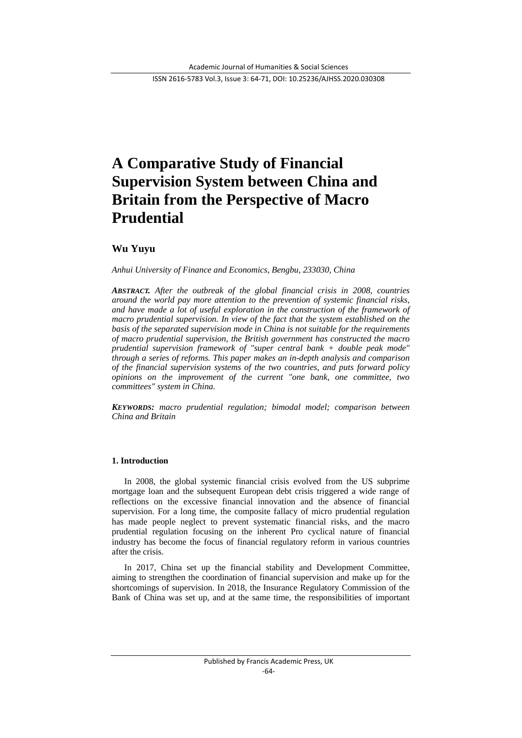ISSN 2616-5783 Vol.3, Issue 3: 64-71, DOI: 10.25236/AJHSS.2020.030308

# **A Comparative Study of Financial Supervision System between China and Britain from the Perspective of Macro Prudential**

# **Wu Yuyu**

*Anhui University of Finance and Economics, Bengbu, 233030, China*

*ABSTRACT. After the outbreak of the global financial crisis in 2008, countries around the world pay more attention to the prevention of systemic financial risks, and have made a lot of useful exploration in the construction of the framework of macro prudential supervision. In view of the fact that the system established on the basis of the separated supervision mode in China is not suitable for the requirements of macro prudential supervision, the British government has constructed the macro prudential supervision framework of "super central bank + double peak mode" through a series of reforms. This paper makes an in-depth analysis and comparison of the financial supervision systems of the two countries, and puts forward policy opinions on the improvement of the current "one bank, one committee, two committees" system in China.*

*KEYWORDS: macro prudential regulation; bimodal model; comparison between China and Britain*

## **1. Introduction**

In 2008, the global systemic financial crisis evolved from the US subprime mortgage loan and the subsequent European debt crisis triggered a wide range of reflections on the excessive financial innovation and the absence of financial supervision. For a long time, the composite fallacy of micro prudential regulation has made people neglect to prevent systematic financial risks, and the macro prudential regulation focusing on the inherent Pro cyclical nature of financial industry has become the focus of financial regulatory reform in various countries after the crisis.

In 2017, China set up the financial stability and Development Committee, aiming to strengthen the coordination of financial supervision and make up for the shortcomings of supervision. In 2018, the Insurance Regulatory Commission of the Bank of China was set up, and at the same time, the responsibilities of important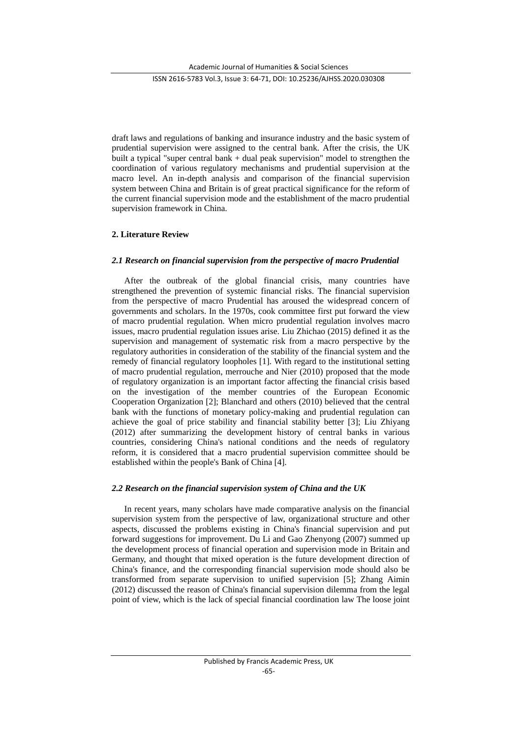ISSN 2616-5783 Vol.3, Issue 3: 64-71, DOI: 10.25236/AJHSS.2020.030308

draft laws and regulations of banking and insurance industry and the basic system of prudential supervision were assigned to the central bank. After the crisis, the UK built a typical "super central bank + dual peak supervision" model to strengthen the coordination of various regulatory mechanisms and prudential supervision at the macro level. An in-depth analysis and comparison of the financial supervision system between China and Britain is of great practical significance for the reform of the current financial supervision mode and the establishment of the macro prudential supervision framework in China.

## **2. Literature Review**

## *2.1 Research on financial supervision from the perspective of macro Prudential*

After the outbreak of the global financial crisis, many countries have strengthened the prevention of systemic financial risks. The financial supervision from the perspective of macro Prudential has aroused the widespread concern of governments and scholars. In the 1970s, cook committee first put forward the view of macro prudential regulation. When micro prudential regulation involves macro issues, macro prudential regulation issues arise. Liu Zhichao (2015) defined it as the supervision and management of systematic risk from a macro perspective by the regulatory authorities in consideration of the stability of the financial system and the remedy of financial regulatory loopholes [1]. With regard to the institutional setting of macro prudential regulation, merrouche and Nier (2010) proposed that the mode of regulatory organization is an important factor affecting the financial crisis based on the investigation of the member countries of the European Economic Cooperation Organization [2]; Blanchard and others (2010) believed that the central bank with the functions of monetary policy-making and prudential regulation can achieve the goal of price stability and financial stability better [3]; Liu Zhiyang (2012) after summarizing the development history of central banks in various countries, considering China's national conditions and the needs of regulatory reform, it is considered that a macro prudential supervision committee should be established within the people's Bank of China [4].

## *2.2 Research on the financial supervision system of China and the UK*

In recent years, many scholars have made comparative analysis on the financial supervision system from the perspective of law, organizational structure and other aspects, discussed the problems existing in China's financial supervision and put forward suggestions for improvement. Du Li and Gao Zhenyong (2007) summed up the development process of financial operation and supervision mode in Britain and Germany, and thought that mixed operation is the future development direction of China's finance, and the corresponding financial supervision mode should also be transformed from separate supervision to unified supervision [5]; Zhang Aimin (2012) discussed the reason of China's financial supervision dilemma from the legal point of view, which is the lack of special financial coordination law The loose joint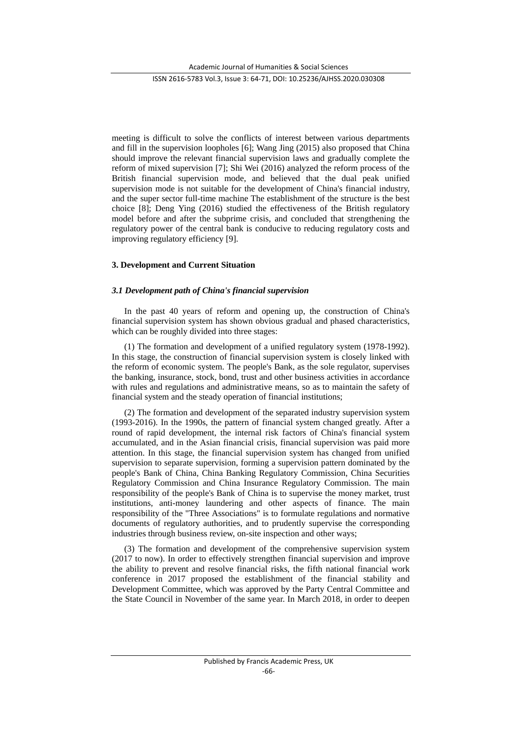ISSN 2616-5783 Vol.3, Issue 3: 64-71, DOI: 10.25236/AJHSS.2020.030308

meeting is difficult to solve the conflicts of interest between various departments and fill in the supervision loopholes [6]; Wang Jing (2015) also proposed that China should improve the relevant financial supervision laws and gradually complete the reform of mixed supervision [7]; Shi Wei (2016) analyzed the reform process of the British financial supervision mode, and believed that the dual peak unified supervision mode is not suitable for the development of China's financial industry, and the super sector full-time machine The establishment of the structure is the best choice [8]; Deng Ying (2016) studied the effectiveness of the British regulatory model before and after the subprime crisis, and concluded that strengthening the regulatory power of the central bank is conducive to reducing regulatory costs and improving regulatory efficiency [9].

## **3. Development and Current Situation**

#### *3.1 Development path of China's financial supervision*

In the past 40 years of reform and opening up, the construction of China's financial supervision system has shown obvious gradual and phased characteristics, which can be roughly divided into three stages:

(1) The formation and development of a unified regulatory system (1978-1992). In this stage, the construction of financial supervision system is closely linked with the reform of economic system. The people's Bank, as the sole regulator, supervises the banking, insurance, stock, bond, trust and other business activities in accordance with rules and regulations and administrative means, so as to maintain the safety of financial system and the steady operation of financial institutions;

(2) The formation and development of the separated industry supervision system (1993-2016). In the 1990s, the pattern of financial system changed greatly. After a round of rapid development, the internal risk factors of China's financial system accumulated, and in the Asian financial crisis, financial supervision was paid more attention. In this stage, the financial supervision system has changed from unified supervision to separate supervision, forming a supervision pattern dominated by the people's Bank of China, China Banking Regulatory Commission, China Securities Regulatory Commission and China Insurance Regulatory Commission. The main responsibility of the people's Bank of China is to supervise the money market, trust institutions, anti-money laundering and other aspects of finance. The main responsibility of the "Three Associations" is to formulate regulations and normative documents of regulatory authorities, and to prudently supervise the corresponding industries through business review, on-site inspection and other ways;

(3) The formation and development of the comprehensive supervision system (2017 to now). In order to effectively strengthen financial supervision and improve the ability to prevent and resolve financial risks, the fifth national financial work conference in 2017 proposed the establishment of the financial stability and Development Committee, which was approved by the Party Central Committee and the State Council in November of the same year. In March 2018, in order to deepen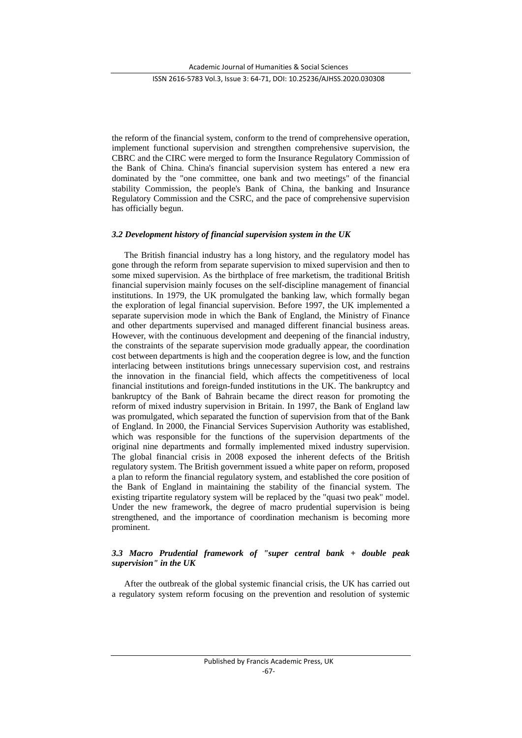ISSN 2616-5783 Vol.3, Issue 3: 64-71, DOI: 10.25236/AJHSS.2020.030308

the reform of the financial system, conform to the trend of comprehensive operation, implement functional supervision and strengthen comprehensive supervision, the CBRC and the CIRC were merged to form the Insurance Regulatory Commission of the Bank of China. China's financial supervision system has entered a new era dominated by the "one committee, one bank and two meetings" of the financial stability Commission, the people's Bank of China, the banking and Insurance Regulatory Commission and the CSRC, and the pace of comprehensive supervision has officially begun.

## *3.2 Development history of financial supervision system in the UK*

The British financial industry has a long history, and the regulatory model has gone through the reform from separate supervision to mixed supervision and then to some mixed supervision. As the birthplace of free marketism, the traditional British financial supervision mainly focuses on the self-discipline management of financial institutions. In 1979, the UK promulgated the banking law, which formally began the exploration of legal financial supervision. Before 1997, the UK implemented a separate supervision mode in which the Bank of England, the Ministry of Finance and other departments supervised and managed different financial business areas. However, with the continuous development and deepening of the financial industry, the constraints of the separate supervision mode gradually appear, the coordination cost between departments is high and the cooperation degree is low, and the function interlacing between institutions brings unnecessary supervision cost, and restrains the innovation in the financial field, which affects the competitiveness of local financial institutions and foreign-funded institutions in the UK. The bankruptcy and bankruptcy of the Bank of Bahrain became the direct reason for promoting the reform of mixed industry supervision in Britain. In 1997, the Bank of England law was promulgated, which separated the function of supervision from that of the Bank of England. In 2000, the Financial Services Supervision Authority was established, which was responsible for the functions of the supervision departments of the original nine departments and formally implemented mixed industry supervision. The global financial crisis in 2008 exposed the inherent defects of the British regulatory system. The British government issued a white paper on reform, proposed a plan to reform the financial regulatory system, and established the core position of the Bank of England in maintaining the stability of the financial system. The existing tripartite regulatory system will be replaced by the "quasi two peak" model. Under the new framework, the degree of macro prudential supervision is being strengthened, and the importance of coordination mechanism is becoming more prominent.

## *3.3 Macro Prudential framework of "super central bank + double peak supervision" in the UK*

After the outbreak of the global systemic financial crisis, the UK has carried out a regulatory system reform focusing on the prevention and resolution of systemic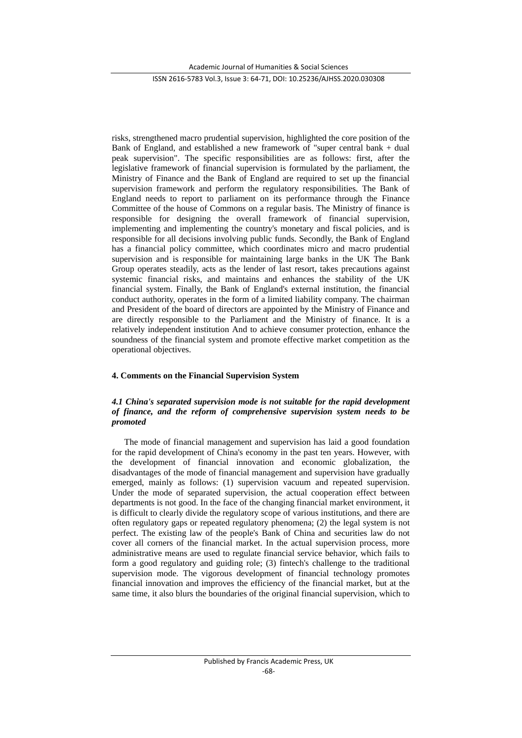#### ISSN 2616-5783 Vol.3, Issue 3: 64-71, DOI: 10.25236/AJHSS.2020.030308

risks, strengthened macro prudential supervision, highlighted the core position of the Bank of England, and established a new framework of "super central bank + dual peak supervision". The specific responsibilities are as follows: first, after the legislative framework of financial supervision is formulated by the parliament, the Ministry of Finance and the Bank of England are required to set up the financial supervision framework and perform the regulatory responsibilities. The Bank of England needs to report to parliament on its performance through the Finance Committee of the house of Commons on a regular basis. The Ministry of finance is responsible for designing the overall framework of financial supervision, implementing and implementing the country's monetary and fiscal policies, and is responsible for all decisions involving public funds. Secondly, the Bank of England has a financial policy committee, which coordinates micro and macro prudential supervision and is responsible for maintaining large banks in the UK The Bank Group operates steadily, acts as the lender of last resort, takes precautions against systemic financial risks, and maintains and enhances the stability of the UK financial system. Finally, the Bank of England's external institution, the financial conduct authority, operates in the form of a limited liability company. The chairman and President of the board of directors are appointed by the Ministry of Finance and are directly responsible to the Parliament and the Ministry of finance. It is a relatively independent institution And to achieve consumer protection, enhance the soundness of the financial system and promote effective market competition as the operational objectives.

## **4. Comments on the Financial Supervision System**

## *4.1 China's separated supervision mode is not suitable for the rapid development of finance, and the reform of comprehensive supervision system needs to be promoted*

The mode of financial management and supervision has laid a good foundation for the rapid development of China's economy in the past ten years. However, with the development of financial innovation and economic globalization, the disadvantages of the mode of financial management and supervision have gradually emerged, mainly as follows: (1) supervision vacuum and repeated supervision. Under the mode of separated supervision, the actual cooperation effect between departments is not good. In the face of the changing financial market environment, it is difficult to clearly divide the regulatory scope of various institutions, and there are often regulatory gaps or repeated regulatory phenomena; (2) the legal system is not perfect. The existing law of the people's Bank of China and securities law do not cover all corners of the financial market. In the actual supervision process, more administrative means are used to regulate financial service behavior, which fails to form a good regulatory and guiding role; (3) fintech's challenge to the traditional supervision mode. The vigorous development of financial technology promotes financial innovation and improves the efficiency of the financial market, but at the same time, it also blurs the boundaries of the original financial supervision, which to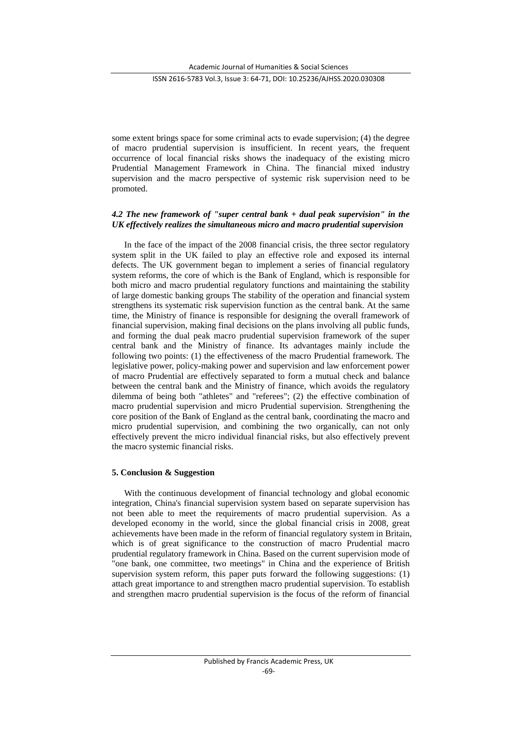ISSN 2616-5783 Vol.3, Issue 3: 64-71, DOI: 10.25236/AJHSS.2020.030308

some extent brings space for some criminal acts to evade supervision; (4) the degree of macro prudential supervision is insufficient. In recent years, the frequent occurrence of local financial risks shows the inadequacy of the existing micro Prudential Management Framework in China. The financial mixed industry supervision and the macro perspective of systemic risk supervision need to be promoted.

## *4.2 The new framework of "super central bank + dual peak supervision" in the UK effectively realizes the simultaneous micro and macro prudential supervision*

In the face of the impact of the 2008 financial crisis, the three sector regulatory system split in the UK failed to play an effective role and exposed its internal defects. The UK government began to implement a series of financial regulatory system reforms, the core of which is the Bank of England, which is responsible for both micro and macro prudential regulatory functions and maintaining the stability of large domestic banking groups The stability of the operation and financial system strengthens its systematic risk supervision function as the central bank. At the same time, the Ministry of finance is responsible for designing the overall framework of financial supervision, making final decisions on the plans involving all public funds, and forming the dual peak macro prudential supervision framework of the super central bank and the Ministry of finance. Its advantages mainly include the following two points: (1) the effectiveness of the macro Prudential framework. The legislative power, policy-making power and supervision and law enforcement power of macro Prudential are effectively separated to form a mutual check and balance between the central bank and the Ministry of finance, which avoids the regulatory dilemma of being both "athletes" and "referees"; (2) the effective combination of macro prudential supervision and micro Prudential supervision. Strengthening the core position of the Bank of England as the central bank, coordinating the macro and micro prudential supervision, and combining the two organically, can not only effectively prevent the micro individual financial risks, but also effectively prevent the macro systemic financial risks.

## **5. Conclusion & Suggestion**

With the continuous development of financial technology and global economic integration, China's financial supervision system based on separate supervision has not been able to meet the requirements of macro prudential supervision. As a developed economy in the world, since the global financial crisis in 2008, great achievements have been made in the reform of financial regulatory system in Britain, which is of great significance to the construction of macro Prudential macro prudential regulatory framework in China. Based on the current supervision mode of "one bank, one committee, two meetings" in China and the experience of British supervision system reform, this paper puts forward the following suggestions: (1) attach great importance to and strengthen macro prudential supervision. To establish and strengthen macro prudential supervision is the focus of the reform of financial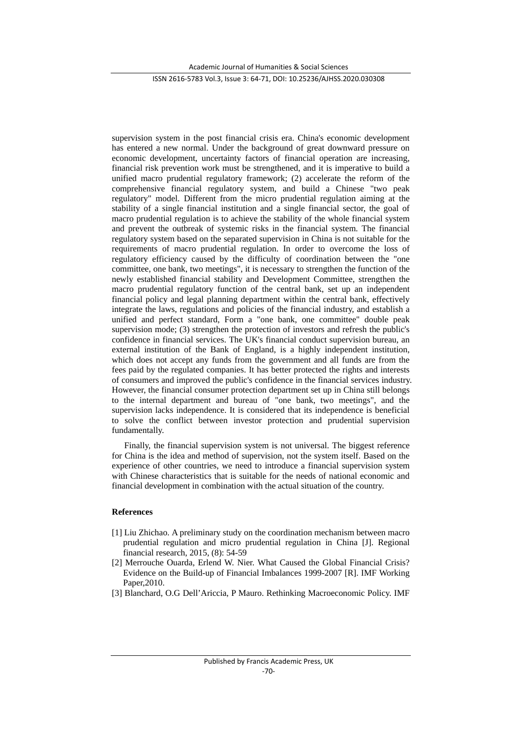#### ISSN 2616-5783 Vol.3, Issue 3: 64-71, DOI: 10.25236/AJHSS.2020.030308

supervision system in the post financial crisis era. China's economic development has entered a new normal. Under the background of great downward pressure on economic development, uncertainty factors of financial operation are increasing, financial risk prevention work must be strengthened, and it is imperative to build a unified macro prudential regulatory framework; (2) accelerate the reform of the comprehensive financial regulatory system, and build a Chinese "two peak regulatory" model. Different from the micro prudential regulation aiming at the stability of a single financial institution and a single financial sector, the goal of macro prudential regulation is to achieve the stability of the whole financial system and prevent the outbreak of systemic risks in the financial system. The financial regulatory system based on the separated supervision in China is not suitable for the requirements of macro prudential regulation. In order to overcome the loss of regulatory efficiency caused by the difficulty of coordination between the "one committee, one bank, two meetings", it is necessary to strengthen the function of the newly established financial stability and Development Committee, strengthen the macro prudential regulatory function of the central bank, set up an independent financial policy and legal planning department within the central bank, effectively integrate the laws, regulations and policies of the financial industry, and establish a unified and perfect standard, Form a "one bank, one committee" double peak supervision mode; (3) strengthen the protection of investors and refresh the public's confidence in financial services. The UK's financial conduct supervision bureau, an external institution of the Bank of England, is a highly independent institution, which does not accept any funds from the government and all funds are from the fees paid by the regulated companies. It has better protected the rights and interests of consumers and improved the public's confidence in the financial services industry. However, the financial consumer protection department set up in China still belongs to the internal department and bureau of "one bank, two meetings", and the supervision lacks independence. It is considered that its independence is beneficial to solve the conflict between investor protection and prudential supervision fundamentally.

Finally, the financial supervision system is not universal. The biggest reference for China is the idea and method of supervision, not the system itself. Based on the experience of other countries, we need to introduce a financial supervision system with Chinese characteristics that is suitable for the needs of national economic and financial development in combination with the actual situation of the country.

## **References**

- [1] Liu Zhichao. A preliminary study on the coordination mechanism between macro prudential regulation and micro prudential regulation in China [J]. Regional financial research, 2015, (8): 54-59
- [2] Merrouche Ouarda, Erlend W. Nier. What Caused the Global Financial Crisis? Evidence on the Build-up of Financial Imbalances 1999-2007 [R]. IMF Working Paper,2010.
- [3] Blanchard, O.G Dell'Ariccia, P Mauro. Rethinking Macroeconomic Policy. IMF